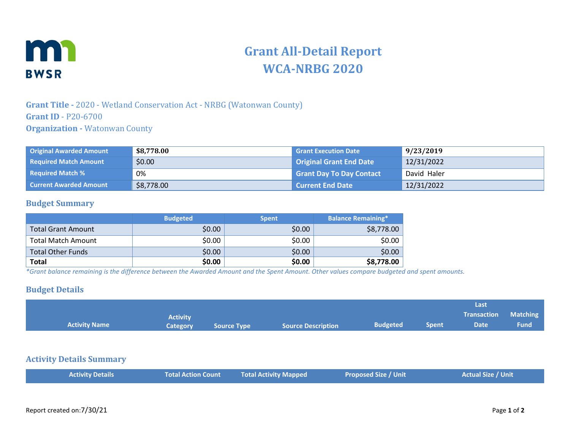

# **Grant All-Detail Report WCA-NRBG 2020**

## **Grant Title -** 2020 - Wetland Conservation Act - NRBG (Watonwan County) **Grant ID** - P20-6700 **Organization -** Watonwan County

| <b>Original Awarded Amount</b> | \$8,778.00 | <b>Grant Execution Date</b>     | 9/23/2019   |
|--------------------------------|------------|---------------------------------|-------------|
| <b>Required Match Amount</b>   | \$0.00     | <b>Original Grant End Date</b>  | 12/31/2022  |
| <b>Required Match %</b>        | 0%         | <b>Grant Day To Day Contact</b> | David Haler |
| <b>Current Awarded Amount</b>  | \$8,778.00 | <b>Current End Date</b>         | 12/31/2022  |

### **Budget Summary**

|                           | <b>Budgeted</b> | <b>Spent</b> | <b>Balance Remaining*</b> |
|---------------------------|-----------------|--------------|---------------------------|
| <b>Total Grant Amount</b> | \$0.00          | \$0.00       | \$8,778.00                |
| <b>Total Match Amount</b> | \$0.00          | \$0.00       | \$0.00                    |
| <b>Total Other Funds</b>  | \$0.00          | \$0.00       | \$0.00                    |
| Total                     | \$0.00          | \$0.00       | \$8,778.00                |

*\*Grant balance remaining is the difference between the Awarded Amount and the Spent Amount. Other values compare budgeted and spent amounts.*

#### **Budget Details**

| <b>Activity Name</b>            | <b>Activity</b><br><b>Category</b> | <b>Source Type</b> | <b>Source Description</b>    | <b>Budgeted</b>             | <b>Spent</b> | Last<br><b>Transaction</b><br><b>Date</b> | <b>Matching</b><br><b>Fund</b> |
|---------------------------------|------------------------------------|--------------------|------------------------------|-----------------------------|--------------|-------------------------------------------|--------------------------------|
| <b>Activity Details Summary</b> |                                    |                    |                              |                             |              |                                           |                                |
| <b>Activity Details</b>         | <b>Total Action Count</b>          |                    | <b>Total Activity Mapped</b> | <b>Proposed Size / Unit</b> |              | <b>Actual Size / Unit</b>                 |                                |